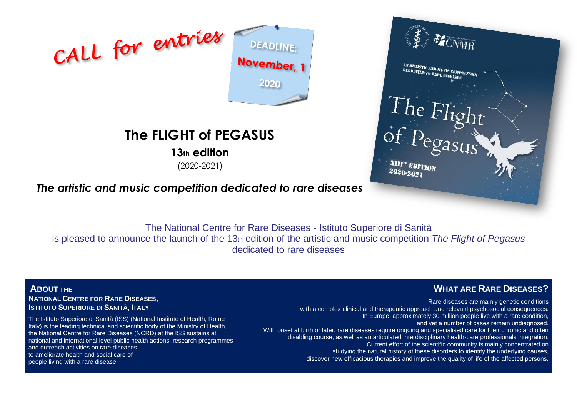

# **The FLIGHT of PEGASUS**

**13th edition**

(2020-2021)

# **MENARY** AN ARTISTIC AND MUSIC COMPETITION<br>DEDICATED TO RARE DISFASES **AN ARTISTIC AND MUSIC COMPETED TO RARE DISEASES** The Flight  $2020 - 2021$

*The artistic and music competition dedicated to rare diseases*

The National Centre for Rare Diseases - Istituto Superiore di Sanità is pleased to announce the launch of the 13th edition of the artistic and music competition *The Flight of Pegasus* dedicated to rare diseases

**ABOUT THE NATIONAL CENTRE FOR RARE DISEASES, ISTITUTO SUPERIORE DI SANITÀ, ITALY**

The Istituto Superiore di Sanità (ISS) (National Institute of Health, Rome Italy) is the leading technical and scientific body of the Ministry of Health, the National Centre for Rare Diseases (NCRD) at the ISS sustains at national and international level public health actions, research programmes and outreach activities on rare diseases to ameliorate health and social care of people living with a rare disease.

# **WHAT ARE RARE DISEASES?**

Rare diseases are mainly genetic conditions with a complex clinical and therapeutic approach and relevant psychosocial consequences. In Europe, approximately 30 million people live with a rare condition, and yet a number of cases remain undiagnosed. With onset at birth or later, rare diseases require ongoing and specialised care for their chronic and often disabling course, as well as an articulated interdisciplinary health-care professionals integration. Current effort of the scientific community is mainly concentrated on studying the natural history of these disorders to identify the underlying causes, discover new efficacious therapies and improve the quality of life of the affected persons.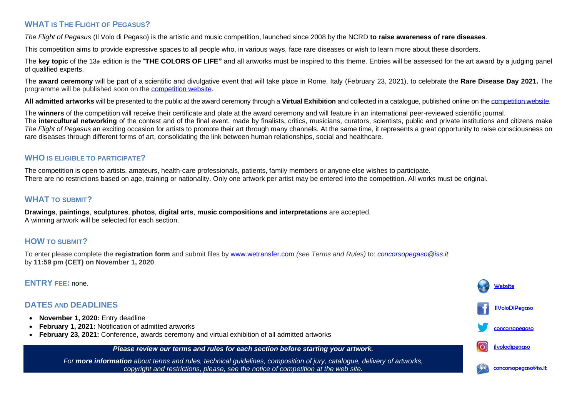### **WHAT IS THE FLIGHT OF PEGASUS?**

*The Flight of Pegasus* (Il Volo di Pegaso) is the artistic and music competition, launched since 2008 by the NCRD **to raise awareness of rare diseases**.

This competition aims to provide expressive spaces to all people who, in various ways, face rare diseases or wish to learn more about these disorders.

The key topic of the 13th edition is the "THE COLORS OF LIFE" and all artworks must be inspired to this theme. Entries will be assessed for the art award by a judging panel of qualified experts.

The **award ceremony** will be part of a scientific and divulgative event that will take place in Rome, Italy (February 23, 2021), to celebrate the **Rare Disease Day 2021.** The programme will be published soon on the [competition website.](https://www.iss.it/en/health-humanities?p_p_id=com_liferay_asset_publisher_web_portlet_AssetPublisherPortlet_INSTANCE_Jts5Nz7IGfYJ&p_p_lifecycle=0&p_p_state=normal&p_p_mode=view&_com_liferay_asset_publisher_web_portlet_AssetPublisherPortlet_INSTANCE_Jts5Nz7IGfYJ_cur=0&p_r_p_resetCur=false&_com_liferay_asset_publisher_web_portlet_AssetPublisherPortlet_INSTANCE_Jts5Nz7IGfYJ_assetEntryId=3630048#3630048)

**All admitted artworks** will be presented to the public at the award ceremony through a **Virtual Exhibition** and collected in a catalogue, published online on the [competition website.](https://www.iss.it/en/health-humanities?p_p_id=com_liferay_asset_publisher_web_portlet_AssetPublisherPortlet_INSTANCE_Jts5Nz7IGfYJ&p_p_lifecycle=0&p_p_state=normal&p_p_mode=view&_com_liferay_asset_publisher_web_portlet_AssetPublisherPortlet_INSTANCE_Jts5Nz7IGfYJ_cur=0&p_r_p_resetCur=false&_com_liferay_asset_publisher_web_portlet_AssetPublisherPortlet_INSTANCE_Jts5Nz7IGfYJ_assetEntryId=3630048#3630048)

The **winners** of the competition will receive their certificate and plate at the award ceremony and will feature in an international peer-reviewed scientific journal. The **intercultural networking** of the contest and of the final event, made by finalists, critics, musicians, curators, scientists, public and private institutions and citizens make *The Flight of Pegasus* an exciting occasion for artists to promote their art through many channels. At the same time, it represents a great opportunity to raise consciousness on rare diseases through different forms of art, consolidating the link between human relationships, social and healthcare.

#### **WHO IS ELIGIBLE TO PARTICIPATE?**

The competition is open to artists, amateurs, health-care professionals, patients, family members or anyone else wishes to participate. There are no restrictions based on age, training or nationality. Only one artwork per artist may be entered into the competition. All works must be original.

### **WHAT TO SUBMIT?**

**Drawings**, **paintings**, **sculptures**, **photos**, **digital arts**, **music compositions and interpretations** are accepted. A winning artwork will be selected for each section.

## **HOW TO SUBMIT?**

To enter please complete the **registration form** and submit files by [www.wetransfer.com](http://www.wetransfer.com/) *(see Terms and Rules)* to: *[concorsopegaso@iss.it](mailto:concorsopegaso@iss.it)* by **11:59 pm (CET) on November 1, 2020**.

#### **ENTRY FEE:** none.

## **DATES AND DEADLINES**

- **November 1, 2020:** Entry deadline
- **February 1, 2021:** Notification of admitted artworks
- **February 23, 2021:** Conference, awards ceremony and virtual exhibition of all admitted artworks

#### *Please review our terms and rules for each section before starting your artwork.*

*For more information about terms and rules, technical guidelines, composition of jury, catalogue, delivery of artworks, copyright and restrictions, please, see the notice of competition at the web site.*

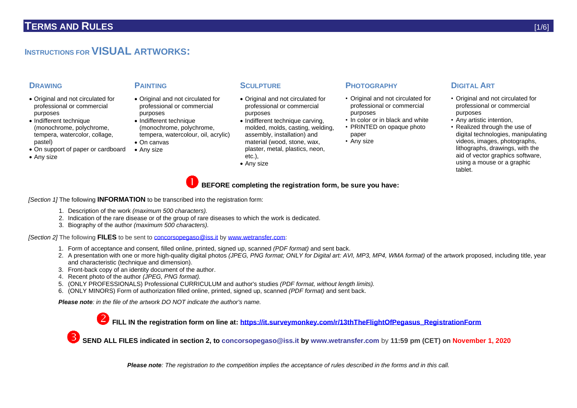# **INSTRUCTIONS FOR VISUAL ARTWORKS:**

- Original and not circulated for professional or commercial purposes
- Indifferent technique (monochrome, polychrome, tempera, watercolor, collage, pastel)
- On support of paper or cardboard
- Any size

- Original and not circulated for professional or commercial purposes
- Indifferent technique (monochrome, polychrome, tempera, watercolour, oil, acrylic)
- On canvas
- Any size
- 
- Original and not circulated for professional or commercial purposes
- Indifferent technique carving. molded, molds, casting, welding, assembly, installation) and material (wood, stone, wax, plaster, metal, plastics, neon, etc.),
- Any size

## **DRAWING PAINTING SCULPTURE PHOTOGRAPHY DIGITAL ART**

- Original and not circulated for professional or commercial purposes
- In color or in black and white
- PRINTED on opaque photo paper
- Any size

- Original and not circulated for professional or commercial purposes
- Any artistic intention,
- Realized through the use of digital technologies, manipulating videos, images, photographs, lithographs, drawings, with the aid of vector graphics software. using a mouse or a graphic tablet.

**BEFORE completing the registration form, be sure you have:**

*[Section 1]* The following **INFORMATION** to be transcribed into the registration form:

- 1. Description of the work *(maximum 500 characters).*
- 2. Indication of the rare disease or of the group of rare diseases to which the work is dedicated.
- 3. Biography of the author *(maximum 500 characters).*

*[Section 2]* The following **FILES** to be sent to [concorsopegaso@iss.it](mailto:concorsopegaso@iss.it) b[y www.wetransfer.com:](http://www.wetransfer.com/)

- 1. Form of acceptance and consent, filled online, printed, signed up, scanned *(PDF format)* and sent back.
- 2. A presentation with one or more high-quality digital photos *(JPEG, PNG format; ONLY for Digital art: AVI, MP3, MP4, WMA format)* of the artwork proposed, including title, year and characteristic (technique and dimension).
- 3. Front-back copy of an identity document of the author.
- 4. Recent photo of the author *(JPEG, PNG format).*
- 5. (ONLY PROFESSIONALS) Professional CURRICULUM and author's studies *(PDF format, without length limits).*
- 6. (ONLY MINORS) Form of authorization filled online, printed, signed up, scanned *(PDF format)* and sent back.

*Please note: in the file of the artwork DO NOT indicate the author's name.*

**FILL IN the registration form on line at: [https://it.surveymonkey.com/r/13thTheFlightOfPegasus\\_RegistrationForm](https://it.surveymonkey.com/r/13thTheFlightOfPegasus_RegistrationForm)**

**SEND ALL FILES indicated in section 2, to [concorsopegaso@iss.it](mailto:concorsopegaso@iss.it) by [www.wetransfer.com](http://www.wetransfer.com/)** by **11:59 pm (CET) on November 1, 2020**

*Please note: The registration to the competition implies the acceptance of rules described in the forms and in this call.*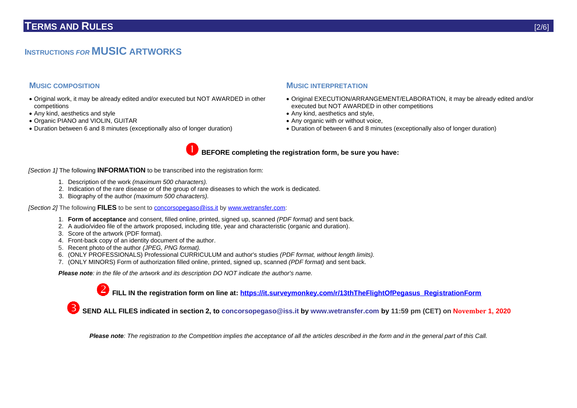# **INSTRUCTIONS** *FOR* **MUSIC ARTWORKS**

- Original work, it may be already edited and/or executed but NOT AWARDED in other competitions
- Any kind, aesthetics and style
- Organic PIANO and VIOLIN, GUITAR
- Duration between 6 and 8 minutes (exceptionally also of longer duration)

#### **MUSIC COMPOSITION MUSIC INTERPRETATION**

- Original EXECUTION/ARRANGEMENT/ELABORATION, it may be already edited and/or executed but NOT AWARDED in other competitions
- Any kind, aesthetics and style,
- Any organic with or without voice,
- Duration of between 6 and 8 minutes (exceptionally also of longer duration)



*[Section 1]* The following **INFORMATION** to be transcribed into the registration form:

- 1. Description of the work *(maximum 500 characters).*
- 2. Indication of the rare disease or of the group of rare diseases to which the work is dedicated.
- 3. Biography of the author *(maximum 500 characters).*

*[Section 2]* The following **FILES** to be sent to [concorsopegaso@iss.it](mailto:concorsopegaso@iss.it) b[y www.wetransfer.com:](http://www.wetransfer.com/)

- 1. **Form of acceptance** and consent, filled online, printed, signed up, scanned *(PDF format)* and sent back.
- 2. A audio/video file of the artwork proposed, including title, year and characteristic (organic and duration).
- 3. Score of the artwork (PDF format).
- 4. Front-back copy of an identity document of the author.
- 5. Recent photo of the author *(JPEG, PNG format).*
- 6. (ONLY PROFESSIONALS) Professional CURRICULUM and author's studies *(PDF format, without length limits).*
- 7. (ONLY MINORS) Form of authorization filled online, printed, signed up, scanned *(PDF format)* and sent back.

*Please note: in the file of the artwork and its description DO NOT indicate the author's name.*

**FILL IN the registration form on line at: [https://it.surveymonkey.com/r/13thTheFlightOfPegasus\\_RegistrationForm](https://it.surveymonkey.com/r/13thTheFlightOfPegasus_RegistrationForm)**

**SEND ALL FILES indicated in section 2, to [concorsopegaso@iss.it](mailto:concorsopegaso@iss.it) by [www.wetransfer.com](http://www.wetransfer.com/) by 11:59 pm (CET) on November 1, 2020**

*Please note: The registration to the Competition implies the acceptance of all the articles described in the form and in the general part of this Call.*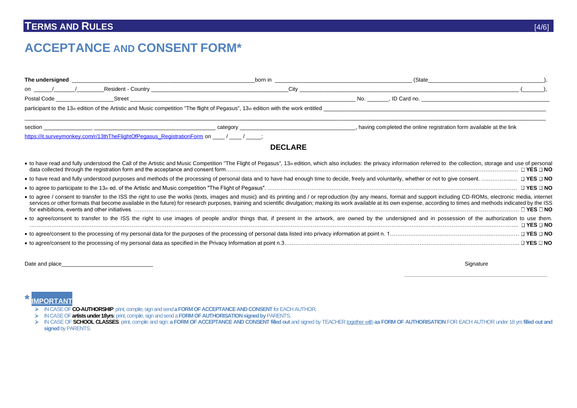# **TERMS AND RULES** [4/6]

# **ACCEPTANCE AND CONSENT FORM\***

|                                                                                                                                                                                                                                      |                                                                                          | born in        | (State<br><u> 1989 - Johann Barbara, martxa alemaniar arg</u>                                                                                                                                                                                                                                                                                                                                                                                           |  |
|--------------------------------------------------------------------------------------------------------------------------------------------------------------------------------------------------------------------------------------|------------------------------------------------------------------------------------------|----------------|---------------------------------------------------------------------------------------------------------------------------------------------------------------------------------------------------------------------------------------------------------------------------------------------------------------------------------------------------------------------------------------------------------------------------------------------------------|--|
| on                                                                                                                                                                                                                                   |                                                                                          | $City \_\_$    |                                                                                                                                                                                                                                                                                                                                                                                                                                                         |  |
| Postal Code <b>Communist Communist Communist Communist Communist Communist Communist Communist Communist Communist Communist Communist Communist Communist Communist Communist Communist Communist Communist Communist Communist</b> | Street                                                                                   |                | No.                                                                                                                                                                                                                                                                                                                                                                                                                                                     |  |
|                                                                                                                                                                                                                                      |                                                                                          |                | participant to the 13th edition of the Artistic and Music competition "The flight of Pegasus", 13th edition with the work entitled                                                                                                                                                                                                                                                                                                                      |  |
|                                                                                                                                                                                                                                      |                                                                                          |                | having completed the online registration form available at the link                                                                                                                                                                                                                                                                                                                                                                                     |  |
|                                                                                                                                                                                                                                      | https://it.surveymonkey.com/r/13thTheFlightOfPegasus_RegistrationForm_on ______________; |                |                                                                                                                                                                                                                                                                                                                                                                                                                                                         |  |
|                                                                                                                                                                                                                                      |                                                                                          | <b>DECLARE</b> |                                                                                                                                                                                                                                                                                                                                                                                                                                                         |  |
|                                                                                                                                                                                                                                      |                                                                                          |                | • to have read and fully understood the Call of the Artistic and Music Competition "The Flight of Pegasus", 13 <sup>th</sup> edition, which also includes: the privacy information referred to the collection, storage and use of person                                                                                                                                                                                                                |  |
|                                                                                                                                                                                                                                      |                                                                                          |                |                                                                                                                                                                                                                                                                                                                                                                                                                                                         |  |
|                                                                                                                                                                                                                                      |                                                                                          |                |                                                                                                                                                                                                                                                                                                                                                                                                                                                         |  |
|                                                                                                                                                                                                                                      |                                                                                          |                | . to agree / consent to transfer to the ISS the right to use the works (texts, images and music) and its printing and / or reproduction (by any means, format and support including CD-ROMs, electronic media, internet<br>services or other formats that become available in the future) for research purposes, training and scientific divulgation; making its work available at its own expense, according to times and methods indicated by the ISS |  |
|                                                                                                                                                                                                                                      |                                                                                          |                | • to agree/consent to transfer to the ISS the right to use images of people and/or things that, if present in the artwork, are owned by the undersigned and in possession of the authorization to use them.<br>$\Box$ YES $\Box$ NO                                                                                                                                                                                                                     |  |
|                                                                                                                                                                                                                                      |                                                                                          |                |                                                                                                                                                                                                                                                                                                                                                                                                                                                         |  |
|                                                                                                                                                                                                                                      |                                                                                          |                |                                                                                                                                                                                                                                                                                                                                                                                                                                                         |  |
|                                                                                                                                                                                                                                      |                                                                                          |                |                                                                                                                                                                                                                                                                                                                                                                                                                                                         |  |

Date and place\_\_\_\_\_\_\_\_\_\_\_\_\_\_\_\_\_\_\_\_\_\_\_\_\_\_\_\_\_\_ Signature

 **\_\_\_\_\_\_\_\_\_\_\_\_\_\_\_\_\_\_\_\_\_\_\_\_\_\_\_\_\_\_\_\_\_\_\_\_\_\_\_\_\_\_\_\_\_\_\_**

**\*IMPORTANT**

IN CASE OF **CO-AUTHORSHIP**: print, compile, sign and send **a FORM OF ACCEPTANCE AND CONSENT** for EACH AUTHOR.

IN CASE OF **artists under 18yrs:**print, compile, sign and send a **FORM OF AUTHORISATION signed by** PARENTS.

> IN CASE OF SCHOOL CLASSES: print, compile and sign: a FORM OF ACCEPTANCE AND CONSENT filled out and signed by TEACHER together with aa FORM OF AUTHORISATION FOR EACH AUTHOR under 18 yrs filled out and **signed** by PARENTS.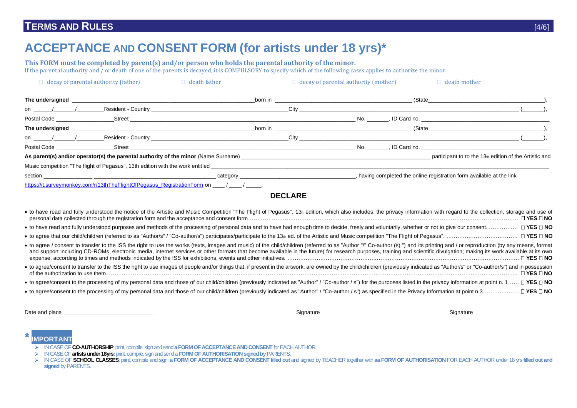# **TERMS AND RULES** [4/6]

# **ACCEPTANCE AND CONSENT FORM (for artists under 18 yrs)\***

**This FORM must be completed by parent(s) and/or person who holds the parental authority of the minor.** If the parental authority and  $\ell$  or death of one of the parents is decayed, it is COMPULSORY to specify which of the following cases applies to authorize the minor:

| $\Box$ decay of parental authority (father)                                                                                                                                                                                          | $\Box$ death father                                                                                                                                                                                                                  |                                                                                                                                                                                                                                         | $\Box$ decay of parental authority (mother) |                                                                                                                                                                                                                                     | $\Box$ death mother                                                                                                                                                                                                            |  |
|--------------------------------------------------------------------------------------------------------------------------------------------------------------------------------------------------------------------------------------|--------------------------------------------------------------------------------------------------------------------------------------------------------------------------------------------------------------------------------------|-----------------------------------------------------------------------------------------------------------------------------------------------------------------------------------------------------------------------------------------|---------------------------------------------|-------------------------------------------------------------------------------------------------------------------------------------------------------------------------------------------------------------------------------------|--------------------------------------------------------------------------------------------------------------------------------------------------------------------------------------------------------------------------------|--|
| The undersigned<br><u> 1989 - Johann Stoff, deutscher Stoff, der Stoff, der Stoff, der Stoff, der Stoff, der Stoff, der Stoff, der S</u>                                                                                             |                                                                                                                                                                                                                                      |                                                                                                                                                                                                                                         |                                             |                                                                                                                                                                                                                                     | (State experience of the state of the state of the state of the state of the state of the state of the state of the state of the state of the state of the state of the state of the state of the state of the state of the st |  |
| on $\sqrt{2}$ /                                                                                                                                                                                                                      | Resident - Country <b>Country Countries and Countries and Countries and Countries and Countries and Countries and Countries and Countries and Countries and Countries and Countries and Countries and Countries and Countries an</b> |                                                                                                                                                                                                                                         |                                             | $\text{City}$ (contract to the contract of the contract of the contract of the contract of the contract of the contract of the contract of the contract of the contract of the contract of the contract of the contract of the cont |                                                                                                                                                                                                                                |  |
|                                                                                                                                                                                                                                      | Street <b>Executive Street Executive Street Executive Street Executive Street</b>                                                                                                                                                    |                                                                                                                                                                                                                                         | No.                                         |                                                                                                                                                                                                                                     |                                                                                                                                                                                                                                |  |
| The undersigned<br><u> 1980 - Andrea Andrew Maria (h. 1980).</u>                                                                                                                                                                     |                                                                                                                                                                                                                                      | <b>born in born</b> in <b>and the contract of the contract of the contract of the contract of the contract of the contract of the contract of the contract of the contract of the contract of the contract of the contract of the c</b> |                                             |                                                                                                                                                                                                                                     | (State experience of the state of the state of the state of the state of the state of the state of the state of the state of the state of the state of the state of the state of the state of the state of the state of the st |  |
| on / / Resident - Country Legal and the country of the country of the country of the country of the country of the country of the country of the country of the country of the country of the country of the country of the co       |                                                                                                                                                                                                                                      |                                                                                                                                                                                                                                         |                                             | $\text{City}$ (contract to the contract of the contract of the contract of the contract of the contract of the contract of the contract of the contract of the contract of the contract of the contract of the contract of the cont |                                                                                                                                                                                                                                |  |
| Postal Code Street Street Street Street Street Street Street Street Street Street Street Street Street Street                                                                                                                        |                                                                                                                                                                                                                                      |                                                                                                                                                                                                                                         |                                             | No. Solution and No. 1996. The Card no.                                                                                                                                                                                             |                                                                                                                                                                                                                                |  |
|                                                                                                                                                                                                                                      |                                                                                                                                                                                                                                      |                                                                                                                                                                                                                                         |                                             |                                                                                                                                                                                                                                     | participant to to the 13th edition of the Artistic and                                                                                                                                                                         |  |
| Music competition "The flight of Pegasus", 13th edition with the work entitled <b>Company of the set of the set of the set of the set of the set of the set of the set of the set of the set of the set of the set of the set of</b> |                                                                                                                                                                                                                                      |                                                                                                                                                                                                                                         |                                             |                                                                                                                                                                                                                                     |                                                                                                                                                                                                                                |  |
|                                                                                                                                                                                                                                      | category example and a series of the state of the state of the state of the state of the state of the state of the state of the state of the state of the state of the state of the state of the state of the state of the sta       | having completed the online registration form available at the link                                                                                                                                                                     |                                             |                                                                                                                                                                                                                                     |                                                                                                                                                                                                                                |  |
| https://it.surveymonkey.com/r/13thTheFlightOfPegasus_RegistrationForm on ____/ _____/ ____;                                                                                                                                          |                                                                                                                                                                                                                                      |                                                                                                                                                                                                                                         |                                             |                                                                                                                                                                                                                                     |                                                                                                                                                                                                                                |  |

#### **DECLARE**

| · to have read and fully understood the notice of the Artistic and Music Competition "The Flight of Pegasus", 13th edition, which also includes: the privacy information with regard to the collection, storage and use of<br>□ YES □ NO                                                                                                                                                                                                                                                |
|-----------------------------------------------------------------------------------------------------------------------------------------------------------------------------------------------------------------------------------------------------------------------------------------------------------------------------------------------------------------------------------------------------------------------------------------------------------------------------------------|
| • to have read and fully understood purposes and methods of the processing of personal data and to have had enough time to decide, freely and voluntarily, whether or not to give our consent.<br>$\Box$ YES $\Box$ NO                                                                                                                                                                                                                                                                  |
| $\Box$ YES $\Box$ NO                                                                                                                                                                                                                                                                                                                                                                                                                                                                    |
| • to agree / consent to transfer to the ISS the right to use the works (texts, images and music) of the child/children (referred to as "Author "/" Co-author (s) ") and its printing and / or reproduction (by any means, form<br>and support including CD-ROMs, electronic media, internet services or other formats that become available in the future) for research purposes, training and scientific divulgation; making its work available at its own<br>$\sqcap$ YES $\sqcap$ NO |
| . to agree/consent to transfer to the ISS the right to use images of people and/or things that, if present in the artwork, are owned by the child/children (previously indicated as "Author/s" or "Co-author/s") and in posses<br><b>∃ YES □ NO</b><br>of the authorization to use them.                                                                                                                                                                                                |
| • to agree/consent to the processing of my personal data and those of our child/children (previously indicated as "Author" / "Co-author / s") for the purposes listed in the privacy information at point n. 1<br>. □ YES □ NO<br>• to agree/consent to the processing of my personal data and those of our child/children (previously indicated as "Author" / "Co-author / s") as specified in the Privacy Information at point n.3<br>. □ YES □ NO                                    |

Date and place\_\_\_\_\_\_\_\_\_\_\_\_\_\_\_\_\_\_\_\_\_\_\_\_\_\_\_\_\_\_ Signature Signature

**\_\_\_\_\_\_\_\_\_\_\_\_\_\_\_\_\_\_\_\_\_\_\_\_\_\_\_\_\_\_\_\_\_\_\_\_\_\_\_\_\_\_\_\_ \_\_\_\_\_\_\_\_\_\_\_\_\_\_\_\_\_\_\_\_\_\_\_\_\_\_\_\_\_\_\_\_\_\_\_\_\_\_\_\_\_\_\_\_\_\_\_**

### **\*IMPORTANT**

- IN CASE OF **CO-AUTHORSHIP**: print, compile, sign and send **a FORM OF ACCEPTANCE AND CONSENT** for EACH AUTHOR.
- IN CASE OF **artists under 18yrs:**print, compile, sign and send a **FORM OF AUTHORISATION signed by** PARENTS.

<sup>&</sup>gt; IN CASE OF SCHOOL CLASSES: print, compile and sign: a FORM OF ACCEPTANCE AND CONSENT filled out and signed by TEACHER together with aa FORM OF AUTHORISATION FOR EACH AUTHOR under 18 yrs filled out and **signed** by PARENTS.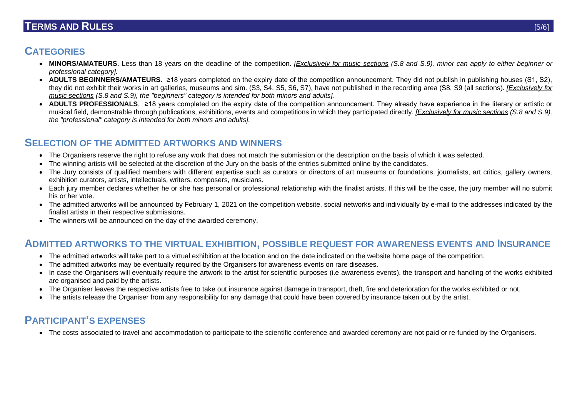# **TERMS AND RULES** [5/6]

# **CATEGORIES**

- **MINORS/AMATEURS**. Less than 18 years on the deadline of the competition. *[Exclusively for music sections (S.8 and S.9), minor can apply to either beginner or professional category].*
- **ADULTS BEGINNERS/AMATEURS.** ≥18 years completed on the expiry date of the competition announcement. They did not publish in publishing houses (S1, S2), they did not exhibit their works in art galleries, museums and sim. (S3, S4, S5, S6, S7), have not published in the recording area (S8, S9 (all sections). *[Exclusively for music sections (S.8 and S.9), the "beginners" category is intended for both minors and adults].*
- **ADULTS PROFESSIONALS**. ≥18 years completed on the expiry date of the competition announcement. They already have experience in the literary or artistic or musical field, demonstrable through publications, exhibitions, events and competitions in which they participated directly. *[Exclusively for music sections (S.8 and S.9), the "professional" category is intended for both minors and adults].*

## **SELECTION OF THE ADMITTED ARTWORKS AND WINNERS**

- The Organisers reserve the right to refuse any work that does not match the submission or the description on the basis of which it was selected.
- The winning artists will be selected at the discretion of the Jury on the basis of the entries submitted online by the candidates.
- The Jury consists of qualified members with different expertise such as curators or directors of art museums or foundations, journalists, art critics, gallery owners, exhibition curators, artists, intellectuals, writers, composers, musicians.
- Each jury member declares whether he or she has personal or professional relationship with the finalist artists. If this will be the case, the jury member will no submit his or her vote.
- The admitted artworks will be announced by February 1, 2021 on the competition website, social networks and individually by e-mail to the addresses indicated by the finalist artists in their respective submissions.
- The winners will be announced on the day of the awarded ceremony.

# **ADMITTED ARTWORKS TO THE VIRTUAL EXHIBITION, POSSIBLE REQUEST FOR AWARENESS EVENTS AND INSURANCE**

- The admitted artworks will take part to a virtual exhibition at the location and on the date indicated on the website home page of the competition.
- The admitted artworks may be eventually required by the Organisers for awareness events on rare diseases.
- In case the Organisers will eventually require the artwork to the artist for scientific purposes (i.e awareness events), the transport and handling of the works exhibited are organised and paid by the artists.
- The Organiser leaves the respective artists free to take out insurance against damage in transport, theft, fire and deterioration for the works exhibited or not.
- The artists release the Organiser from any responsibility for any damage that could have been covered by insurance taken out by the artist.

# **PARTICIPANT'S EXPENSES**

• The costs associated to travel and accommodation to participate to the scientific conference and awarded ceremony are not paid or re-funded by the Organisers.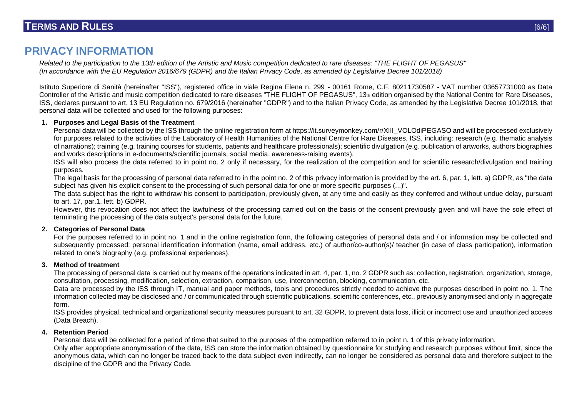# **PRIVACY INFORMATION**

*Related to the participation to the 13th edition of the Artistic and Music competition dedicated to rare diseases: "THE FLIGHT OF PEGASUS" (In accordance with the EU Regulation 2016/679 (GDPR) and the Italian Privacy Code, as amended by Legislative Decree 101/2018)*

Istituto Superiore di Sanità (hereinafter "ISS"), registered office in viale Regina Elena n. 299 - 00161 Rome, C.F. 80211730587 - VAT number 03657731000 as Data Controller of the Artistic and music competition dedicated to rare diseases "THE FLIGHT OF PEGASUS", 13th edition organised by the National Centre for Rare Diseases, ISS, declares pursuant to art. 13 EU Regulation no. 679/2016 (hereinafter "GDPR") and to the Italian Privacy Code, as amended by the Legislative Decree 101/2018, that personal data will be collected and used for the following purposes:

#### **1. Purposes and Legal Basis of the Treatment**

Personal data will be collected by the ISS through the online registration form at https://it.surveymonkey.com/r/XIII\_VOLOdiPEGASO and will be processed exclusively for purposes related to the activities of the Laboratory of Health Humanities of the National Centre for Rare Diseases, ISS, including: research (e.g. thematic analysis of narrations); training (e.g. training courses for students, patients and healthcare professionals); scientific divulgation (e.g. publication of artworks, authors biographies and works descriptions in e-documents/scientific journals, social media, awareness-raising events).

ISS will also process the data referred to in point no. 2 only if necessary, for the realization of the competition and for scientific research/divulgation and training purposes.

The legal basis for the processing of personal data referred to in the point no. 2 of this privacy information is provided by the art. 6, par. 1, lett. a) GDPR, as "the data subject has given his explicit consent to the processing of such personal data for one or more specific purposes (...)".

The data subject has the right to withdraw his consent to participation, previously given, at any time and easily as they conferred and without undue delay, pursuant to art. 17, par.1, lett. b) GDPR.

However, this revocation does not affect the lawfulness of the processing carried out on the basis of the consent previously given and will have the sole effect of terminating the processing of the data subject's personal data for the future.

#### **2. Categories of Personal Data**

For the purposes referred to in point no. 1 and in the online registration form, the following categories of personal data and / or information may be collected and subsequently processed: personal identification information (name, email address, etc.) of author/co-author(s)/ teacher (in case of class participation), information related to one's biography (e.g. professional experiences).

#### **3. Method of treatment**

The processing of personal data is carried out by means of the operations indicated in art. 4, par. 1, no. 2 GDPR such as: collection, registration, organization, storage, consultation, processing, modification, selection, extraction, comparison, use, interconnection, blocking, communication, etc.

Data are processed by the ISS through IT, manual and paper methods, tools and procedures strictly needed to achieve the purposes described in point no. 1. The information collected may be disclosed and / or communicated through scientific publications, scientific conferences, etc., previously anonymised and only in aggregate form.

ISS provides physical, technical and organizational security measures pursuant to art. 32 GDPR, to prevent data loss, illicit or incorrect use and unauthorized access (Data Breach).

#### **4. Retention Period**

Personal data will be collected for a period of time that suited to the purposes of the competition referred to in point n. 1 of this privacy information.

Only after appropriate anonymisation of the data, ISS can store the information obtained by questionnaire for studying and research purposes without limit, since the anonymous data, which can no longer be traced back to the data subject even indirectly, can no longer be considered as personal data and therefore subject to the discipline of the GDPR and the Privacy Code.